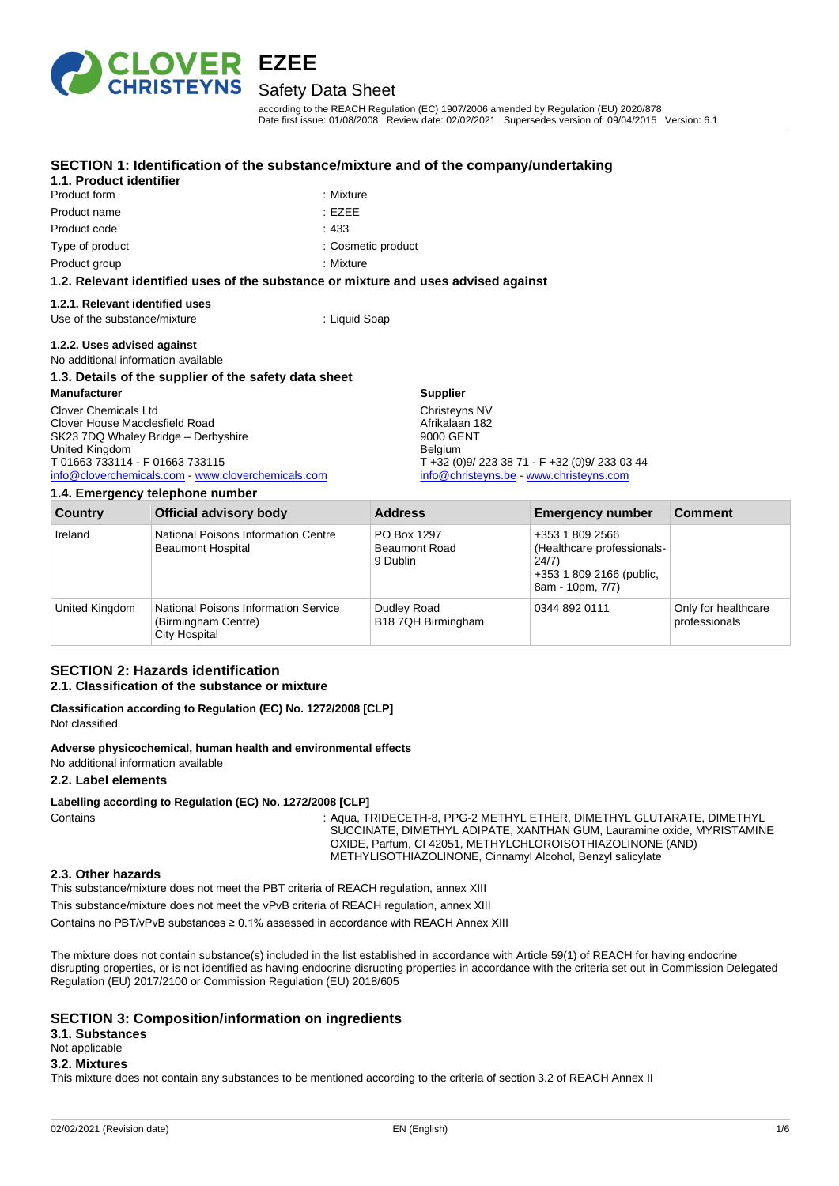

Product form : Nixture Product name : EZEE

**1.1. Product identifier**

## Safety Data Sheet

**SECTION 1: Identification of the substance/mixture and of the company/undertaking**

according to the REACH Regulation (EC) 1907/2006 amended by Regulation (EU) 2020/878 Date first issue: 01/08/2008 Review date: 02/02/2021 Supersedes version of: 09/04/2015 Version: 6.1

| Product code                                                                       | .433                                                          |  |  |
|------------------------------------------------------------------------------------|---------------------------------------------------------------|--|--|
| Type of product                                                                    | : Cosmetic product                                            |  |  |
| Product group                                                                      | : Mixture                                                     |  |  |
| 1.2. Relevant identified uses of the substance or mixture and uses advised against |                                                               |  |  |
| 1.2.1. Relevant identified uses                                                    |                                                               |  |  |
| Use of the substance/mixture                                                       | : Liquid Soap                                                 |  |  |
| 1.2.2. Uses advised against                                                        |                                                               |  |  |
| No additional information available                                                |                                                               |  |  |
| 1.3. Details of the supplier of the safety data sheet                              |                                                               |  |  |
| <b>Manufacturer</b>                                                                | <b>Supplier</b>                                               |  |  |
| Clover Chemicals Ltd                                                               | Christeyns NV                                                 |  |  |
| Clover House Macclesfield Road                                                     | Afrikalaan 182                                                |  |  |
| SK23 7DQ Whaley Bridge - Derbyshire                                                | 9000 GENT                                                     |  |  |
| United Kingdom<br>T 01663 733114 - F 01663 733115                                  | <b>Belgium</b><br>$T + 32 (0)9/2233871 - F + 32 (0)9/2330344$ |  |  |
| info@cloverchemicals.com www.cloverchemicals.com                                   | info@christeyns.be - www.christeyns.com                       |  |  |
|                                                                                    |                                                               |  |  |

**1.4. Emergency telephone number**

| Country        | <b>Official advisory body</b>                                                       | <b>Address</b>                                  | <b>Emergency number</b>                                                                                | <b>Comment</b>                       |
|----------------|-------------------------------------------------------------------------------------|-------------------------------------------------|--------------------------------------------------------------------------------------------------------|--------------------------------------|
| Ireland        | National Poisons Information Centre<br><b>Beaumont Hospital</b>                     | PO Box 1297<br><b>Beaumont Road</b><br>9 Dublin | +353 1 809 2566<br>(Healthcare professionals-<br>24/7)<br>+353 1 809 2166 (public,<br>8am - 10pm, 7/7) |                                      |
| United Kingdom | <b>National Poisons Information Service</b><br>(Birmingham Centre)<br>City Hospital | Dudley Road<br>B18 7QH Birmingham               | 0344 892 0111                                                                                          | Only for healthcare<br>professionals |

### **SECTION 2: Hazards identification 2.1. Classification of the substance or mixture**

**Classification according to Regulation (EC) No. 1272/2008 [CLP]** Not classified

**Adverse physicochemical, human health and environmental effects**

No additional information available

### **2.2. Label elements**

**Labelling according to Regulation (EC) No. 1272/2008 [CLP]**

Contains : Aqua, TRIDECETH-8, PPG-2 METHYL ETHER, DIMETHYL GLUTARATE, DIMETHYL SUCCINATE, DIMETHYL ADIPATE, XANTHAN GUM, Lauramine oxide, MYRISTAMINE OXIDE, Parfum, CI 42051, METHYLCHLOROISOTHIAZOLINONE (AND) METHYLISOTHIAZOLINONE, Cinnamyl Alcohol, Benzyl salicylate

#### **2.3. Other hazards**

This substance/mixture does not meet the PBT criteria of REACH regulation, annex XIII

This substance/mixture does not meet the vPvB criteria of REACH regulation, annex XIII

Contains no PBT/vPvB substances ≥ 0.1% assessed in accordance with REACH Annex XIII

The mixture does not contain substance(s) included in the list established in accordance with Article 59(1) of REACH for having endocrine disrupting properties, or is not identified as having endocrine disrupting properties in accordance with the criteria set out in Commission Delegated Regulation (EU) 2017/2100 or Commission Regulation (EU) 2018/605

### **SECTION 3: Composition/information on ingredients**

**3.1. Substances**

# Not applicable

#### **3.2. Mixtures**

This mixture does not contain any substances to be mentioned according to the criteria of section 3.2 of REACH Annex II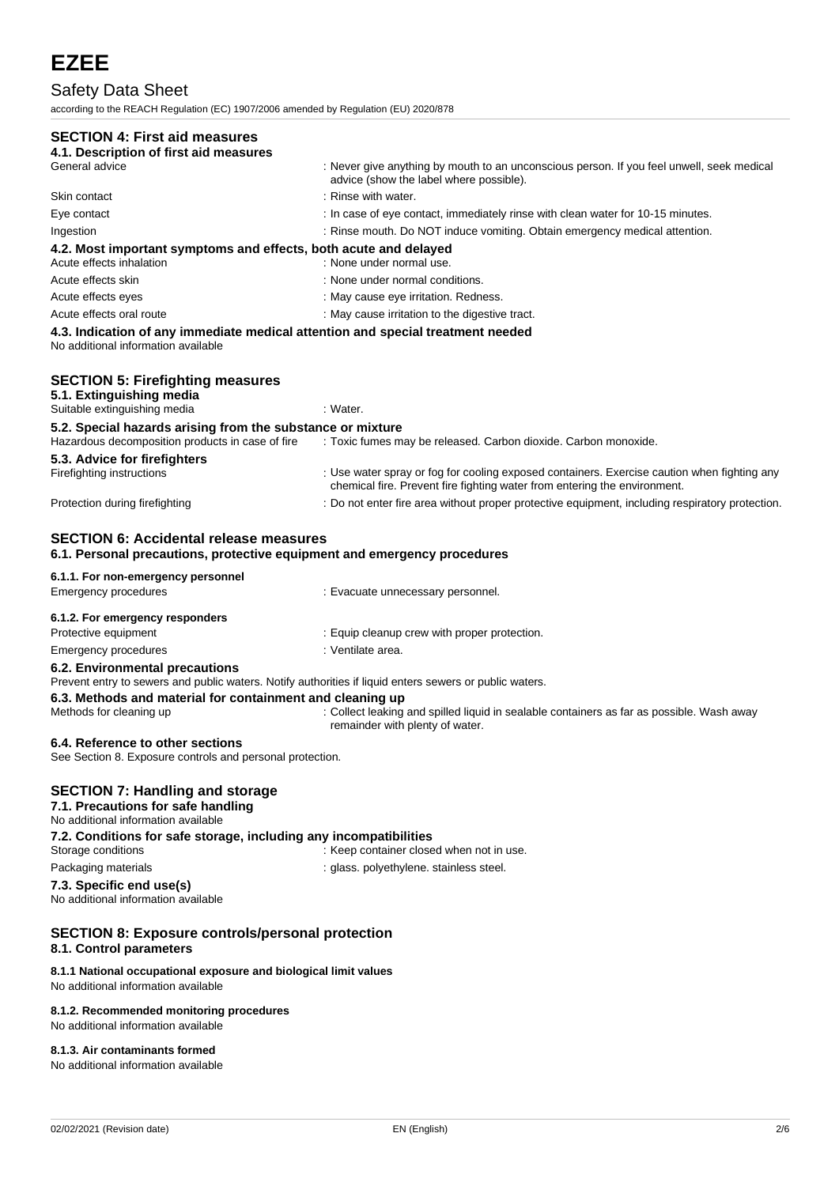# Safety Data Sheet

according to the REACH Regulation (EC) 1907/2006 amended by Regulation (EU) 2020/878

# **SECTION 4: First aid measures**

| SECTION 4: FIRST ald measures                                                                                                                                                            |                                                                                                                                                                          |
|------------------------------------------------------------------------------------------------------------------------------------------------------------------------------------------|--------------------------------------------------------------------------------------------------------------------------------------------------------------------------|
| 4.1. Description of first aid measures<br>General advice                                                                                                                                 | : Never give anything by mouth to an unconscious person. If you feel unwell, seek medical                                                                                |
|                                                                                                                                                                                          | advice (show the label where possible).                                                                                                                                  |
| Skin contact                                                                                                                                                                             | : Rinse with water.                                                                                                                                                      |
| Eye contact                                                                                                                                                                              | : In case of eye contact, immediately rinse with clean water for 10-15 minutes.                                                                                          |
| Ingestion                                                                                                                                                                                | : Rinse mouth. Do NOT induce vomiting. Obtain emergency medical attention.                                                                                               |
| 4.2. Most important symptoms and effects, both acute and delayed<br>Acute effects inhalation                                                                                             | : None under normal use.                                                                                                                                                 |
| Acute effects skin                                                                                                                                                                       | : None under normal conditions.                                                                                                                                          |
| Acute effects eyes                                                                                                                                                                       | : May cause eye irritation. Redness.                                                                                                                                     |
| Acute effects oral route                                                                                                                                                                 | : May cause irritation to the digestive tract.                                                                                                                           |
| 4.3. Indication of any immediate medical attention and special treatment needed<br>No additional information available                                                                   |                                                                                                                                                                          |
| <b>SECTION 5: Firefighting measures</b><br>5.1. Extinguishing media<br>Suitable extinguishing media                                                                                      | : Water.                                                                                                                                                                 |
|                                                                                                                                                                                          |                                                                                                                                                                          |
| 5.2. Special hazards arising from the substance or mixture<br>Hazardous decomposition products in case of fire                                                                           | : Toxic fumes may be released. Carbon dioxide. Carbon monoxide.                                                                                                          |
| 5.3. Advice for firefighters<br>Firefighting instructions                                                                                                                                | : Use water spray or fog for cooling exposed containers. Exercise caution when fighting any<br>chemical fire. Prevent fire fighting water from entering the environment. |
| Protection during firefighting                                                                                                                                                           | : Do not enter fire area without proper protective equipment, including respiratory protection.                                                                          |
| <b>SECTION 6: Accidental release measures</b><br>6.1. Personal precautions, protective equipment and emergency procedures                                                                |                                                                                                                                                                          |
| 6.1.1. For non-emergency personnel                                                                                                                                                       |                                                                                                                                                                          |
| <b>Emergency procedures</b>                                                                                                                                                              | : Evacuate unnecessary personnel.                                                                                                                                        |
| 6.1.2. For emergency responders                                                                                                                                                          |                                                                                                                                                                          |
| Protective equipment                                                                                                                                                                     | : Equip cleanup crew with proper protection.                                                                                                                             |
| <b>Emergency procedures</b>                                                                                                                                                              | : Ventilate area.                                                                                                                                                        |
| 6.2. Environmental precautions<br>Prevent entry to sewers and public waters. Notify authorities if liquid enters sewers or public waters.                                                |                                                                                                                                                                          |
| 6.3. Methods and material for containment and cleaning up<br>Methods for cleaning up                                                                                                     | : Collect leaking and spilled liquid in sealable containers as far as possible. Wash away<br>remainder with plenty of water.                                             |
| 6.4. Reference to other sections<br>See Section 8. Exposure controls and personal protection.                                                                                            |                                                                                                                                                                          |
| <b>SECTION 7: Handling and storage</b><br>7.1. Precautions for safe handling<br>No additional information available<br>7.2. Conditions for safe storage, including any incompatibilities |                                                                                                                                                                          |
| Storage conditions                                                                                                                                                                       | : Keep container closed when not in use.                                                                                                                                 |
| Packaging materials                                                                                                                                                                      | : glass. polyethylene. stainless steel.                                                                                                                                  |
| 7.3. Specific end use(s)<br>No additional information available                                                                                                                          |                                                                                                                                                                          |
| <b>SECTION 8: Exposure controls/personal protection</b><br>8.1. Control parameters                                                                                                       |                                                                                                                                                                          |
| 8.1.1 National occupational exposure and biological limit values<br>No additional information available                                                                                  |                                                                                                                                                                          |
| 8.1.2. Recommended monitoring procedures<br>No additional information available                                                                                                          |                                                                                                                                                                          |

**8.1.3. Air contaminants formed**

No additional information available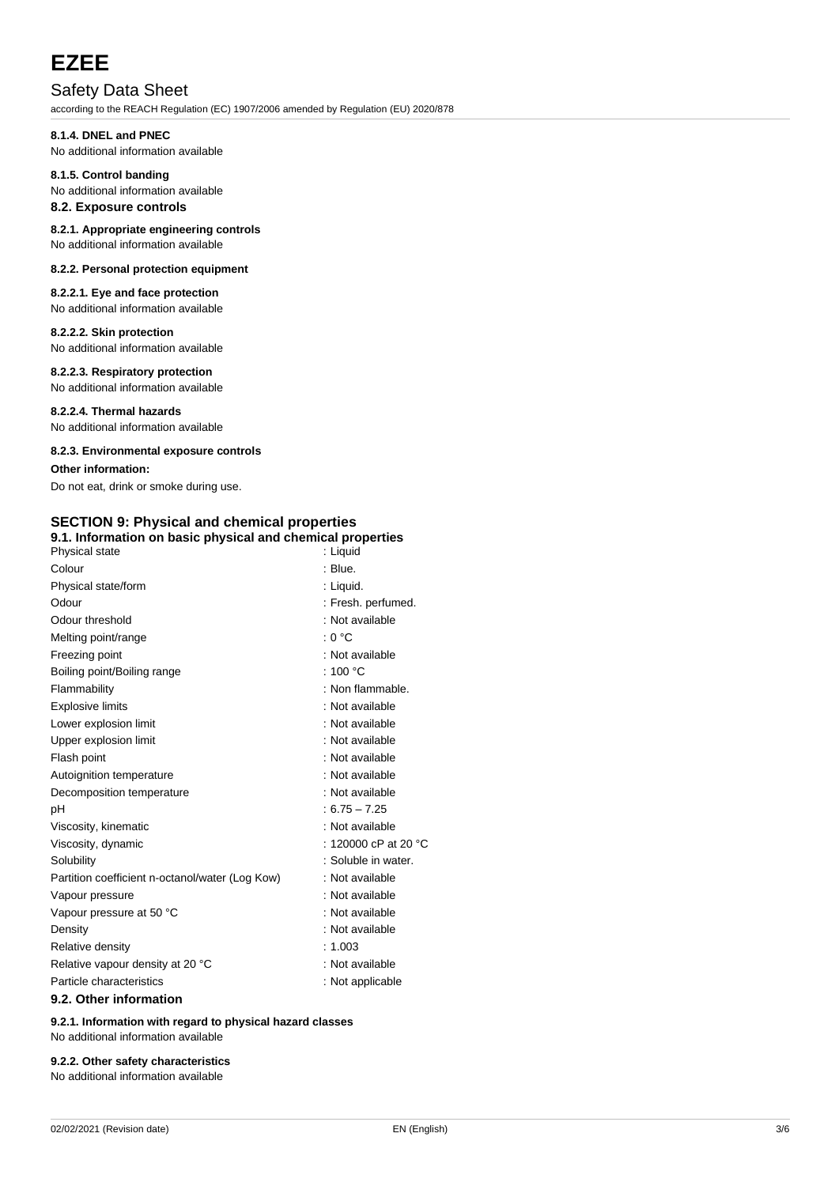# **EZEE**

# Safety Data Sheet

according to the REACH Regulation (EC) 1907/2006 amended by Regulation (EU) 2020/878

# **8.1.4. DNEL and PNEC**

No additional information available

#### **8.1.5. Control banding** No additional information available

# **8.2. Exposure controls**

#### **8.2.1. Appropriate engineering controls** No additional information available

# **8.2.2. Personal protection equipment**

**8.2.2.1. Eye and face protection** No additional information available

## **8.2.2.2. Skin protection**

No additional information available

## **8.2.2.3. Respiratory protection**

No additional information available

**8.2.2.4. Thermal hazards** No additional information available

## **8.2.3. Environmental exposure controls**

## **Other information:**

Do not eat, drink or smoke during use.

#### **SECTION 9: Physical and chemical properties 9.1. Information on basic physical and chemical properties**

| 9.1. Information on basic physical and chemical properties<br>Physical state | : Liguid                       |
|------------------------------------------------------------------------------|--------------------------------|
| Colour                                                                       | : Blue.                        |
| Physical state/form                                                          | : Liquid.                      |
| Odour                                                                        | : Fresh. perfumed.             |
| Odour threshold                                                              | : Not available                |
| Melting point/range                                                          | : 0 °C                         |
| Freezing point                                                               | : Not available                |
| Boiling point/Boiling range                                                  | : 100 $\degree$ C              |
| Flammability                                                                 | : Non flammable.               |
| <b>Explosive limits</b>                                                      | : Not available                |
| Lower explosion limit                                                        | : Not available                |
| Upper explosion limit                                                        | : Not available                |
| Flash point                                                                  | : Not available                |
| Autoignition temperature                                                     | : Not available                |
| Decomposition temperature                                                    | : Not available                |
| рH                                                                           | $: 6.75 - 7.25$                |
| Viscosity, kinematic                                                         | : Not available                |
| Viscosity, dynamic                                                           | : 120000 cP at 20 $^{\circ}$ C |
| Solubility                                                                   | : Soluble in water.            |
| Partition coefficient n-octanol/water (Log Kow)                              | : Not available                |
| Vapour pressure                                                              | : Not available                |
| Vapour pressure at 50 °C                                                     | : Not available                |
| Density                                                                      | : Not available                |
| Relative density                                                             | : 1.003                        |
| Relative vapour density at 20 °C                                             | : Not available                |
| Particle characteristics                                                     | : Not applicable               |
| 9.2. Other information                                                       |                                |

**9.2.1. Information with regard to physical hazard classes** No additional information available

# **9.2.2. Other safety characteristics**

No additional information available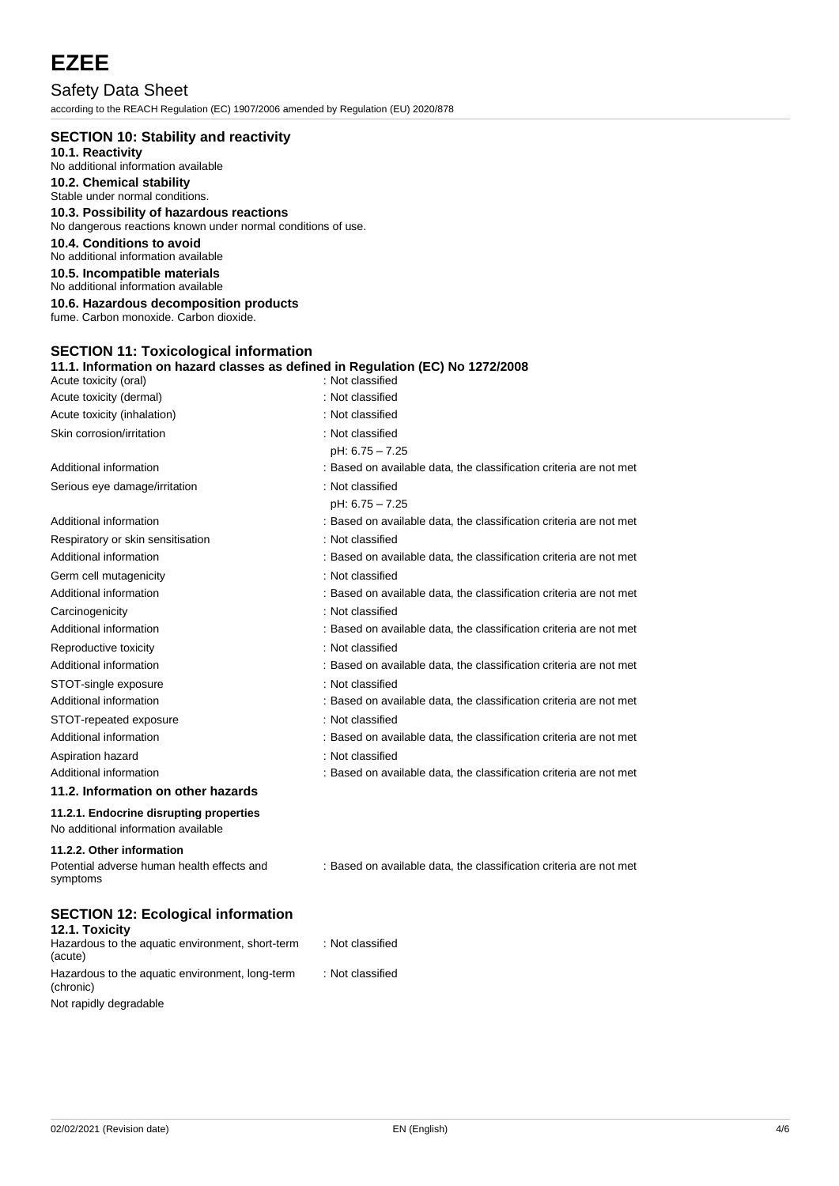# **EZEE**

Safety Data Sheet according to the REACH Regulation (EC) 1907/2006 amended by Regulation (EU) 2020/878

| <b>SECTION 10: Stability and reactivity</b>                                                                                    |                                                                    |
|--------------------------------------------------------------------------------------------------------------------------------|--------------------------------------------------------------------|
| 10.1. Reactivity                                                                                                               |                                                                    |
| No additional information available<br>10.2. Chemical stability                                                                |                                                                    |
| Stable under normal conditions.                                                                                                |                                                                    |
| 10.3. Possibility of hazardous reactions                                                                                       |                                                                    |
| No dangerous reactions known under normal conditions of use.                                                                   |                                                                    |
| 10.4. Conditions to avoid<br>No additional information available                                                               |                                                                    |
| 10.5. Incompatible materials<br>No additional information available                                                            |                                                                    |
| 10.6. Hazardous decomposition products                                                                                         |                                                                    |
| fume. Carbon monoxide. Carbon dioxide.                                                                                         |                                                                    |
| <b>SECTION 11: Toxicological information</b><br>11.1. Information on hazard classes as defined in Regulation (EC) No 1272/2008 |                                                                    |
| Acute toxicity (oral)                                                                                                          | : Not classified                                                   |
| Acute toxicity (dermal)                                                                                                        | : Not classified                                                   |
| Acute toxicity (inhalation)                                                                                                    | : Not classified                                                   |
| Skin corrosion/irritation                                                                                                      | : Not classified                                                   |
|                                                                                                                                | pH: 6.75 - 7.25                                                    |
| Additional information                                                                                                         | : Based on available data, the classification criteria are not met |
| Serious eye damage/irritation                                                                                                  | : Not classified                                                   |
|                                                                                                                                | pH: 6.75 - 7.25                                                    |
| Additional information                                                                                                         | : Based on available data, the classification criteria are not met |
| Respiratory or skin sensitisation                                                                                              | : Not classified                                                   |
| Additional information                                                                                                         | : Based on available data, the classification criteria are not met |
| Germ cell mutagenicity                                                                                                         | : Not classified                                                   |
| Additional information                                                                                                         | : Based on available data, the classification criteria are not met |
| Carcinogenicity                                                                                                                | : Not classified                                                   |
| Additional information                                                                                                         | : Based on available data, the classification criteria are not met |
| Reproductive toxicity                                                                                                          | : Not classified                                                   |
| Additional information                                                                                                         | : Based on available data, the classification criteria are not met |
| STOT-single exposure                                                                                                           | : Not classified                                                   |
| Additional information                                                                                                         | : Based on available data, the classification criteria are not met |
| STOT-repeated exposure                                                                                                         | : Not classified                                                   |
| Additional information                                                                                                         | : Based on available data, the classification criteria are not met |
| Aspiration hazard                                                                                                              | : Not classified                                                   |
| Additional information                                                                                                         | : Based on available data, the classification criteria are not met |
| 11.2. Information on other hazards                                                                                             |                                                                    |
| 11.2.1. Endocrine disrupting properties<br>No additional information available                                                 |                                                                    |
| 11.2.2. Other information<br>Potential adverse human health effects and                                                        | : Based on available data, the classification criteria are not met |
| symptoms                                                                                                                       |                                                                    |
| <b>SECTION 12: Ecological information</b>                                                                                      |                                                                    |
| 12.1. Toxicity<br>Hazardous to the aquatic environment, short-term<br>(acute)                                                  | : Not classified                                                   |

Not rapidly degradable

(chronic)

Hazardous to the aquatic environment, long-term

: Not classified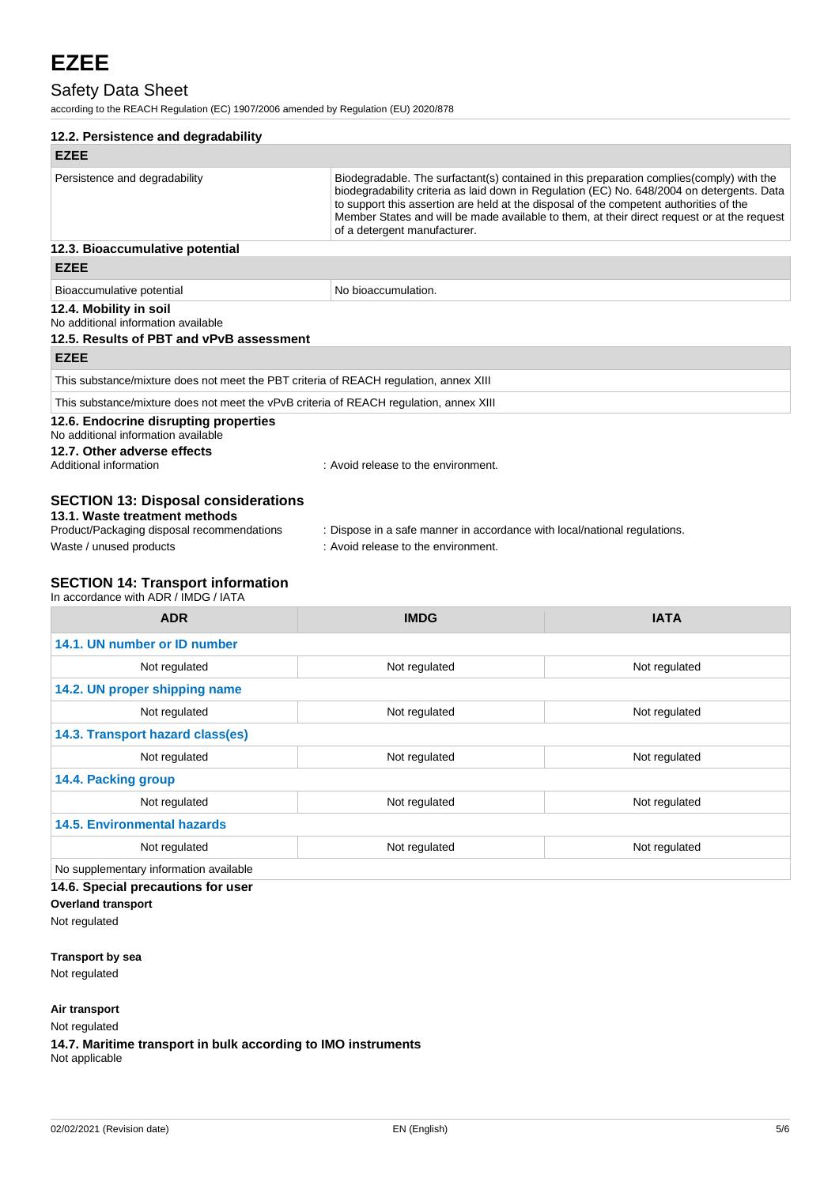# Safety Data Sheet

according to the REACH Regulation (EC) 1907/2006 amended by Regulation (EU) 2020/878

|                                                                                        | 12.2. Persistence and degradability                                                                                                                                                                                                                                                                                                                                                                              |             |  |  |
|----------------------------------------------------------------------------------------|------------------------------------------------------------------------------------------------------------------------------------------------------------------------------------------------------------------------------------------------------------------------------------------------------------------------------------------------------------------------------------------------------------------|-------------|--|--|
| <b>EZEE</b>                                                                            |                                                                                                                                                                                                                                                                                                                                                                                                                  |             |  |  |
| Persistence and degradability                                                          | Biodegradable. The surfactant(s) contained in this preparation complies (comply) with the<br>biodegradability criteria as laid down in Regulation (EC) No. 648/2004 on detergents. Data<br>to support this assertion are held at the disposal of the competent authorities of the<br>Member States and will be made available to them, at their direct request or at the request<br>of a detergent manufacturer. |             |  |  |
| 12.3. Bioaccumulative potential                                                        |                                                                                                                                                                                                                                                                                                                                                                                                                  |             |  |  |
| <b>EZEE</b>                                                                            |                                                                                                                                                                                                                                                                                                                                                                                                                  |             |  |  |
| Bioaccumulative potential                                                              | No bioaccumulation.                                                                                                                                                                                                                                                                                                                                                                                              |             |  |  |
| 12.4. Mobility in soil<br>No additional information available                          |                                                                                                                                                                                                                                                                                                                                                                                                                  |             |  |  |
| 12.5. Results of PBT and vPvB assessment                                               |                                                                                                                                                                                                                                                                                                                                                                                                                  |             |  |  |
| <b>EZEE</b>                                                                            |                                                                                                                                                                                                                                                                                                                                                                                                                  |             |  |  |
| This substance/mixture does not meet the PBT criteria of REACH regulation, annex XIII  |                                                                                                                                                                                                                                                                                                                                                                                                                  |             |  |  |
| This substance/mixture does not meet the vPvB criteria of REACH regulation, annex XIII |                                                                                                                                                                                                                                                                                                                                                                                                                  |             |  |  |
| 12.6. Endocrine disrupting properties<br>No additional information available           |                                                                                                                                                                                                                                                                                                                                                                                                                  |             |  |  |
| 12.7. Other adverse effects<br>Additional information                                  | : Avoid release to the environment.                                                                                                                                                                                                                                                                                                                                                                              |             |  |  |
| <b>SECTION 13: Disposal considerations</b><br>13.1. Waste treatment methods            |                                                                                                                                                                                                                                                                                                                                                                                                                  |             |  |  |
| Product/Packaging disposal recommendations                                             | : Dispose in a safe manner in accordance with local/national regulations.                                                                                                                                                                                                                                                                                                                                        |             |  |  |
| Waste / unused products                                                                | : Avoid release to the environment.                                                                                                                                                                                                                                                                                                                                                                              |             |  |  |
| <b>SECTION 14: Transport information</b><br>In accordance with ADR / IMDG / IATA       |                                                                                                                                                                                                                                                                                                                                                                                                                  |             |  |  |
| <b>ADR</b>                                                                             | <b>IMDG</b>                                                                                                                                                                                                                                                                                                                                                                                                      | <b>IATA</b> |  |  |

| 14.1. UN number or ID number           |               |               |  |
|----------------------------------------|---------------|---------------|--|
| Not regulated                          | Not regulated | Not regulated |  |
| 14.2. UN proper shipping name          |               |               |  |
| Not regulated                          | Not regulated | Not regulated |  |
| 14.3. Transport hazard class(es)       |               |               |  |
| Not regulated                          | Not regulated | Not regulated |  |
| 14.4. Packing group                    |               |               |  |
| Not regulated                          | Not regulated | Not regulated |  |
| <b>14.5. Environmental hazards</b>     |               |               |  |
| Not regulated                          | Not regulated | Not regulated |  |
| No supplementary information available |               |               |  |

**14.6. Special precautions for user**

**Overland transport** Not regulated

**Transport by sea**

Not regulated

**Air transport**

Not regulated

**14.7. Maritime transport in bulk according to IMO instruments** Not applicable